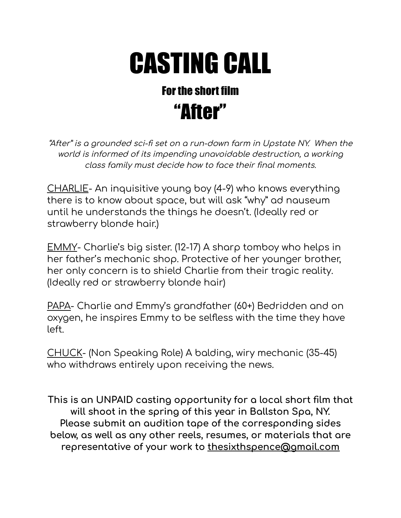# CASTING CALL

## Forthe short film "After"

"After" is <sup>a</sup> grounded sci-fi set on <sup>a</sup> run-down farm in Upstate NY. When the world is informed of its impending unavoidable destruction, <sup>a</sup> working class family must decide how to face their final moments.

CHARLIE- An inquisitive young boy (4-9) who knows everything there is to know about space, but will ask "why" ad nauseum until he understands the things he doesn't. (Ideally red or strawberry blonde hair.)

EMMY- Charlie's big sister. (12-17) A sharp tomboy who helps in her father's mechanic shop. Protective of her younger brother, her only concern is to shield Charlie from their tragic reality. (Ideally red or strawberry blonde hair)

PAPA- Charlie and Emmy's grandfather (60+) Bedridden and on oxygen, he inspires Emmy to be selfless with the time they have left.

CHUCK- (Non Speaking Role) A balding, wiry mechanic (35-45) who withdraws entirely upon receiving the news.

**This is an UNPAID casting opportunity for a local short film that will shoot in the spring of this year in Ballston Spa, NY. Please submit an audition tape of the corresponding sides below, as well as any other reels, resumes, or materials that are representative of your work to thesixthspence@gmail.com**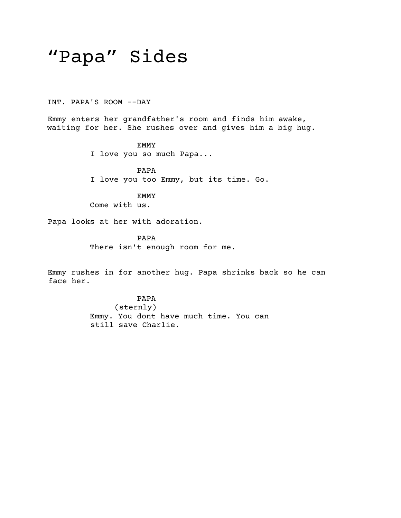## "Papa" Sides

INT. PAPA'S ROOM --DAY

Emmy enters her grandfather's room and finds him awake, waiting for her. She rushes over and gives him a big hug.

> EMMY I love you so much Papa...

PAPA I love you too Emmy, but its time. Go.

EMMY Come with us.

Papa looks at her with adoration.

PAPA There isn't enough room for me.

Emmy rushes in for another hug. Papa shrinks back so he can face her.

> PAPA (sternly) Emmy. You dont have much time. You can still save Charlie.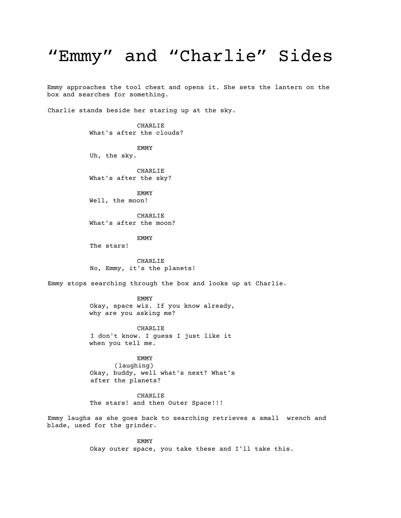### "Emmy" and "Charlie" Sides

Emmy approaches the tool chest and opens it. She sets the lantern on the box and searches for something.

Charlie stands beside her staring up at the sky.

CHARLIE What's after the clouds?

EMMY Uh, the sky.

CHARLIE What's after the sky?

EMMY Well, the moon!

CHARLIE What's after the moon?

EMMY The stars!

CHARLIE No, Emmy, it's the planets!

Emmy stops searching through the box and looks up at Charlie.

EMMY Okay, space wiz. If you know already, why are you asking me?

CHARLIE I don't know. I guess I just like it when you tell me.

EMMY (laughing) Okay, buddy, well what's next? What's after the planets?

CHARLIE The stars! and then Outer Space!!!

Emmy laughs as she goes back to searching retrieves a small wrench and blade, used for the grinder.

> EMMY Okay outer space, you take these and I'll take this.